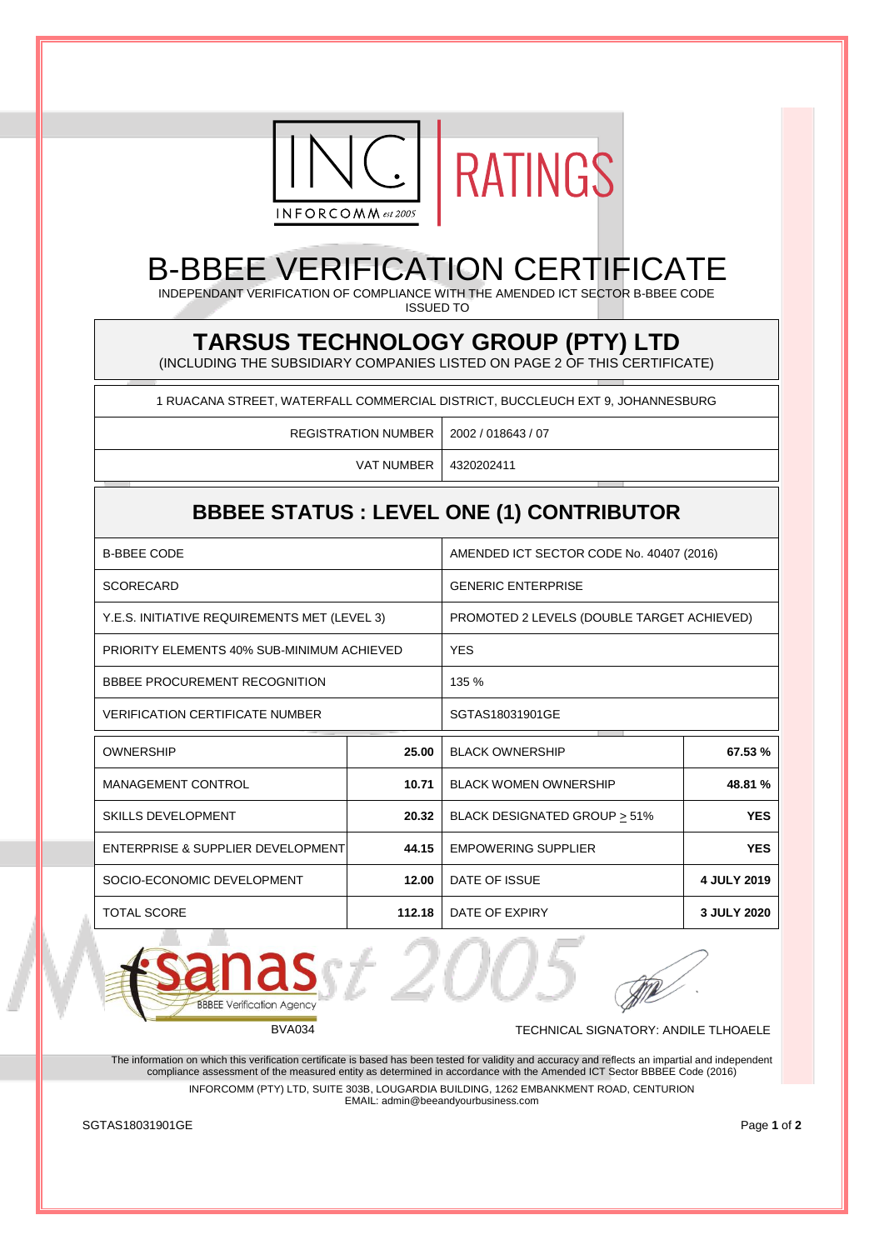



## B-BBEE VERIFICATION CERTIFICATE

INDEPENDANT VERIFICATION OF COMPLIANCE WITH THE AMENDED ICT SECTOR B-BBEE CODE ISSUED TO

## **TARSUS TECHNOLOGY GROUP (PTY) LTD**

(INCLUDING THE SUBSIDIARY COMPANIES LISTED ON PAGE 2 OF THIS CERTIFICATE)

1 RUACANA STREET, WATERFALL COMMERCIAL DISTRICT, BUCCLEUCH EXT 9, JOHANNESBURG

REGISTRATION NUMBER 2002 / 018643 / 07

VAT NUMBER 4320202411

## **BBBEE STATUS : LEVEL ONE (1) CONTRIBUTOR**

| <b>B-BBEE CODE</b>                           |        | AMENDED ICT SECTOR CODE No. 40407 (2016)   |             |
|----------------------------------------------|--------|--------------------------------------------|-------------|
| <b>SCORECARD</b>                             |        | <b>GENERIC ENTERPRISE</b>                  |             |
| Y.E.S. INITIATIVE REQUIREMENTS MET (LEVEL 3) |        | PROMOTED 2 LEVELS (DOUBLE TARGET ACHIEVED) |             |
| PRIORITY ELEMENTS 40% SUB-MINIMUM ACHIEVED   |        | <b>YES</b>                                 |             |
| BBBEE PROCUREMENT RECOGNITION                |        | 135 %                                      |             |
| <b>VERIFICATION CERTIFICATE NUMBER</b>       |        | SGTAS18031901GE                            |             |
| <b>OWNERSHIP</b>                             | 25.00  | <b>BLACK OWNERSHIP</b>                     | 67.53 %     |
| MANAGEMENT CONTROL                           | 10.71  | <b>BLACK WOMEN OWNERSHIP</b>               | 48.81 %     |
| <b>SKILLS DEVELOPMENT</b>                    | 20.32  | BLACK DESIGNATED GROUP > 51%               | <b>YES</b>  |
| ENTERPRISE & SUPPLIER DEVELOPMENT            | 44.15  | <b>EMPOWERING SUPPLIER</b>                 | <b>YES</b>  |
| SOCIO-ECONOMIC DEVELOPMENT                   | 12.00  | DATE OF ISSUE                              | 4 JULY 2019 |
| <b>TOTAL SCORE</b>                           | 112.18 | DATE OF EXPIRY                             | 3 JULY 2020 |



BVA034 TECHNICAL SIGNATORY: ANDILE TLHOAELE

The information on which this verification certificate is based has been tested for validity and accuracy and reflects an impartial and independent compliance assessment of the measured entity as determined in accordance with the Amended ICT Sector BBBEE Code (2016) INFORCOMM (PTY) LTD, SUITE 303B, LOUGARDIA BUILDING, 1262 EMBANKMENT ROAD, CENTURION

EMAIL: admin@beeandyourbusiness.com

**SGTAS18031901GE** Page 1 of 2